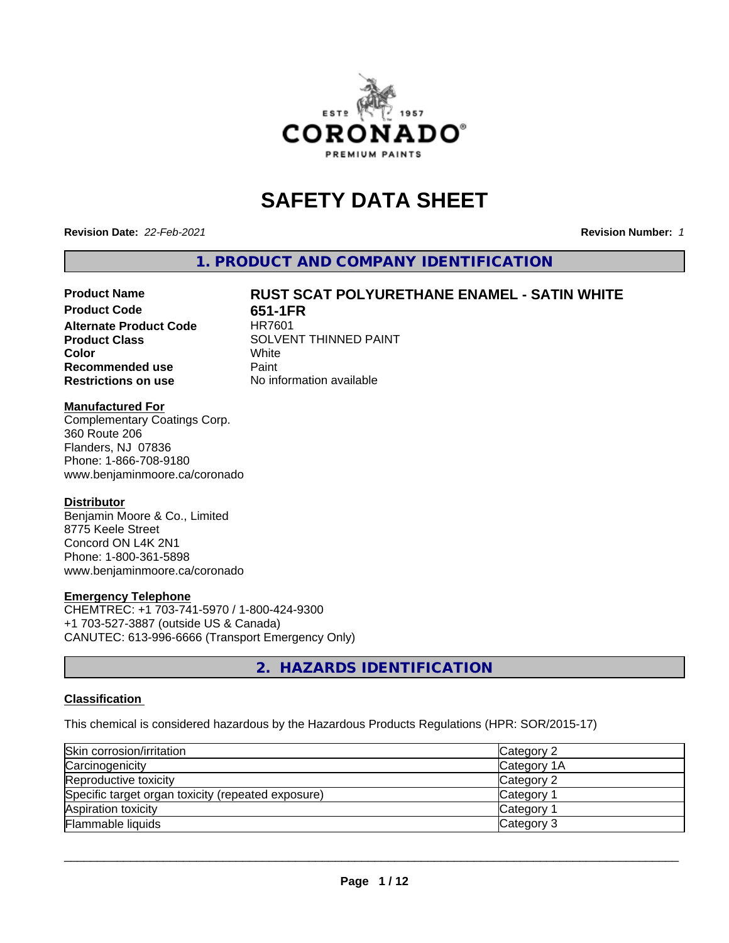

# **SAFETY DATA SHEET**

**Revision Date:** *22-Feb-2021* **Revision Number:** *1*

**1. PRODUCT AND COMPANY IDENTIFICATION**

# **Product Name RUST SCAT POLYURETHANE ENAMEL - SATIN WHITE**

**Product Code 651-1FR Alternate Product Code Recommended use** Paint **Restrictions on use** No information available

**Product Class** SOLVENT THINNED PAINT<br>
Color **Color** White White

### **Manufactured For**

Complementary Coatings Corp. 360 Route 206 Flanders, NJ 07836 Phone: 1-866-708-9180 www.benjaminmoore.ca/coronado

### **Distributor**

Benjamin Moore & Co., Limited 8775 Keele Street Concord ON L4K 2N1 Phone: 1-800-361-5898 www.benjaminmoore.ca/coronado

### **Emergency Telephone**

CHEMTREC: +1 703-741-5970 / 1-800-424-9300 +1 703-527-3887 (outside US & Canada) CANUTEC: 613-996-6666 (Transport Emergency Only)

**2. HAZARDS IDENTIFICATION**

### **Classification**

This chemical is considered hazardous by the Hazardous Products Regulations (HPR: SOR/2015-17)

| Skin corrosion/irritation                          | Category 2      |
|----------------------------------------------------|-----------------|
| Carcinogenicity                                    | Category 1A     |
| Reproductive toxicity                              | Category 2      |
| Specific target organ toxicity (repeated exposure) | Category        |
| Aspiration toxicity                                | <b>Category</b> |
| Flammable liquids                                  | Category 3      |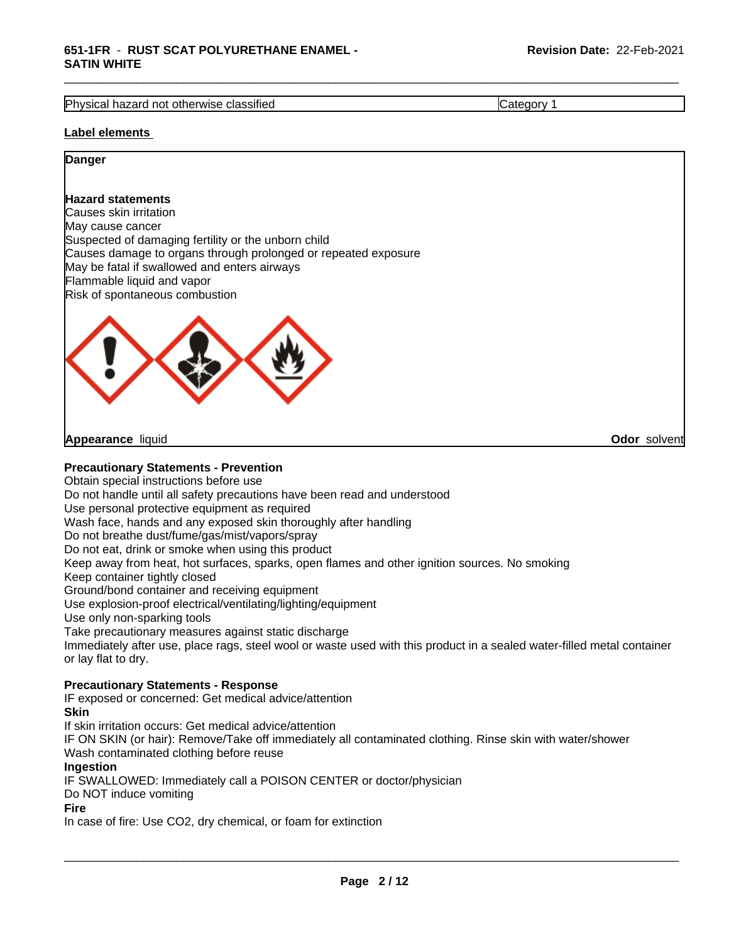Physical hazard not otherwise classified **Category 1 Category 1** 

\_\_\_\_\_\_\_\_\_\_\_\_\_\_\_\_\_\_\_\_\_\_\_\_\_\_\_\_\_\_\_\_\_\_\_\_\_\_\_\_\_\_\_\_\_\_\_\_\_\_\_\_\_\_\_\_\_\_\_\_\_\_\_\_\_\_\_\_\_\_\_\_\_\_\_\_\_\_\_\_\_\_\_\_\_\_\_\_\_\_\_\_\_

### **Label elements**

### **Danger**

### **Hazard statements**

Causes skin irritation May cause cancer Suspected of damaging fertility or the unborn child Causes damage to organs through prolonged or repeated exposure May be fatal if swallowed and enters airways Flammable liquid and vapor Risk of spontaneous combustion



**Appearance** liquid **Odor** solvent

### **Precautionary Statements - Prevention**

Obtain special instructions before use Do not handle until all safety precautions have been read and understood Use personal protective equipment as required Wash face, hands and any exposed skin thoroughly after handling Do not breathe dust/fume/gas/mist/vapors/spray Do not eat, drink or smoke when using this product Keep away from heat, hot surfaces, sparks, open flames and other ignition sources. No smoking Keep container tightly closed Ground/bond container and receiving equipment Use explosion-proof electrical/ventilating/lighting/equipment Use only non-sparking tools Take precautionary measures against static discharge Immediately after use, place rags, steel wool or waste used with this product in a sealed water-filled metal container or lay flat to dry.

### **Precautionary Statements - Response**

IF exposed or concerned: Get medical advice/attention

### **Skin**

If skin irritation occurs: Get medical advice/attention IF ON SKIN (or hair): Remove/Take off immediately all contaminated clothing. Rinse skin with water/shower Wash contaminated clothing before reuse **Ingestion** IF SWALLOWED: Immediately call a POISON CENTER or doctor/physician Do NOT induce vomiting

### **Fire**

In case of fire: Use CO2, dry chemical, or foam for extinction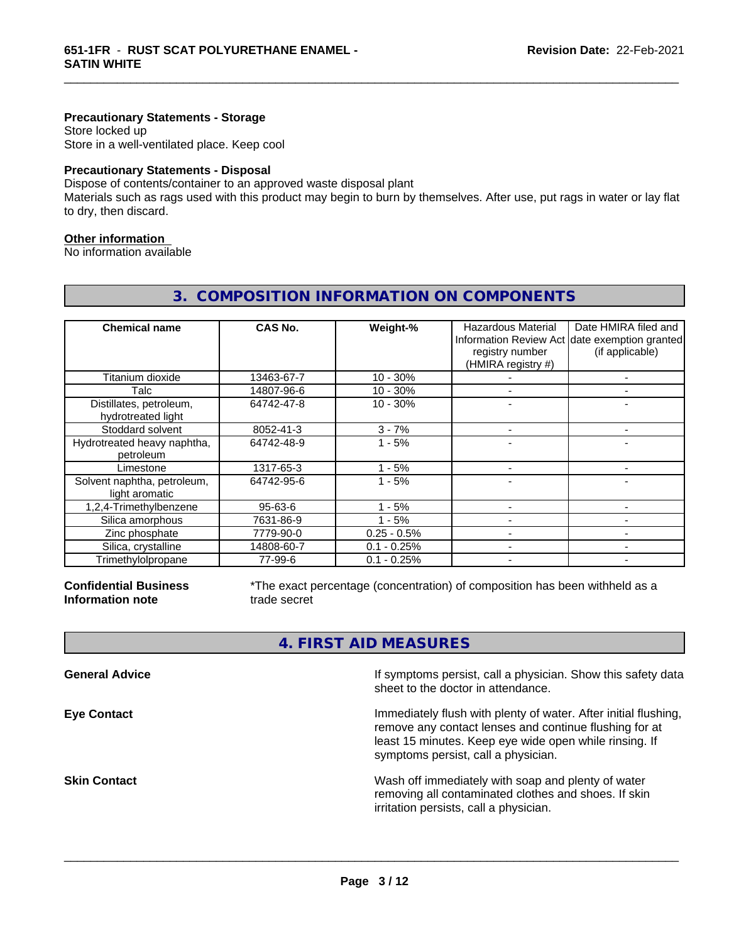### **Precautionary Statements - Storage**

Store locked up Store in a well-ventilated place. Keep cool

### **Precautionary Statements - Disposal**

Dispose of contents/container to an approved waste disposal plant

Materials such as rags used with this product may begin to burn by themselves. After use, put rags in water or lay flat to dry, then discard.

**3. COMPOSITION INFORMATION ON COMPONENTS**

\_\_\_\_\_\_\_\_\_\_\_\_\_\_\_\_\_\_\_\_\_\_\_\_\_\_\_\_\_\_\_\_\_\_\_\_\_\_\_\_\_\_\_\_\_\_\_\_\_\_\_\_\_\_\_\_\_\_\_\_\_\_\_\_\_\_\_\_\_\_\_\_\_\_\_\_\_\_\_\_\_\_\_\_\_\_\_\_\_\_\_\_\_

### **Other information**

No information available

| <b>Chemical name</b>                          | CAS No.       | Weight-%      | <b>Hazardous Material</b><br>registry number<br>(HMIRA registry #) | Date HMIRA filed and<br>Information Review Act date exemption granted<br>(if applicable) |
|-----------------------------------------------|---------------|---------------|--------------------------------------------------------------------|------------------------------------------------------------------------------------------|
| Titanium dioxide                              | 13463-67-7    | $10 - 30%$    |                                                                    |                                                                                          |
| Talc                                          | 14807-96-6    | $10 - 30%$    |                                                                    |                                                                                          |
| Distillates, petroleum,<br>hydrotreated light | 64742-47-8    | $10 - 30%$    |                                                                    |                                                                                          |
| Stoddard solvent                              | 8052-41-3     | $3 - 7%$      |                                                                    | $\overline{\phantom{0}}$                                                                 |
| Hydrotreated heavy naphtha,<br>petroleum      | 64742-48-9    | $1 - 5%$      |                                                                    |                                                                                          |
| Limestone                                     | 1317-65-3     | $1 - 5%$      |                                                                    |                                                                                          |
| Solvent naphtha, petroleum,<br>light aromatic | 64742-95-6    | $1 - 5%$      |                                                                    |                                                                                          |
| 1,2,4-Trimethylbenzene                        | $95 - 63 - 6$ | $-5%$         |                                                                    |                                                                                          |
| Silica amorphous                              | 7631-86-9     | $1 - 5%$      |                                                                    |                                                                                          |
| Zinc phosphate                                | 7779-90-0     | $0.25 - 0.5%$ |                                                                    |                                                                                          |
| Silica, crystalline                           | 14808-60-7    | $0.1 - 0.25%$ |                                                                    |                                                                                          |
| Trimethylolpropane                            | 77-99-6       | $0.1 - 0.25%$ |                                                                    |                                                                                          |

**Confidential Business Information note**

\*The exact percentage (concentration) of composition has been withheld as a trade secret

# **4. FIRST AID MEASURES**

| <b>General Advice</b> | If symptoms persist, call a physician. Show this safety data<br>sheet to the doctor in attendance.                                                                                                                         |
|-----------------------|----------------------------------------------------------------------------------------------------------------------------------------------------------------------------------------------------------------------------|
| <b>Eye Contact</b>    | Immediately flush with plenty of water. After initial flushing,<br>remove any contact lenses and continue flushing for at<br>least 15 minutes. Keep eye wide open while rinsing. If<br>symptoms persist, call a physician. |
| <b>Skin Contact</b>   | Wash off immediately with soap and plenty of water<br>removing all contaminated clothes and shoes. If skin<br>irritation persists, call a physician.                                                                       |
|                       |                                                                                                                                                                                                                            |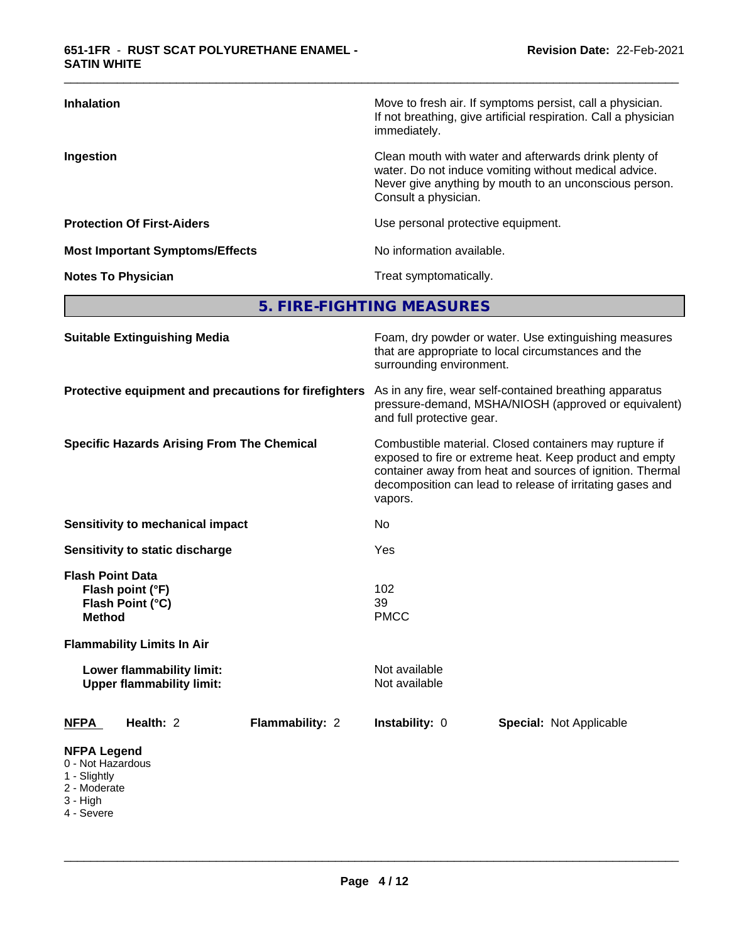| <b>Inhalation</b>                      | Move to fresh air. If symptoms persist, call a physician.<br>If not breathing, give artificial respiration. Call a physician<br>immediately.                                                     |
|----------------------------------------|--------------------------------------------------------------------------------------------------------------------------------------------------------------------------------------------------|
| Ingestion                              | Clean mouth with water and afterwards drink plenty of<br>water. Do not induce vomiting without medical advice.<br>Never give anything by mouth to an unconscious person.<br>Consult a physician. |
| <b>Protection Of First-Aiders</b>      | Use personal protective equipment.                                                                                                                                                               |
| <b>Most Important Symptoms/Effects</b> | No information available.                                                                                                                                                                        |
| <b>Notes To Physician</b>              | Treat symptomatically.                                                                                                                                                                           |

\_\_\_\_\_\_\_\_\_\_\_\_\_\_\_\_\_\_\_\_\_\_\_\_\_\_\_\_\_\_\_\_\_\_\_\_\_\_\_\_\_\_\_\_\_\_\_\_\_\_\_\_\_\_\_\_\_\_\_\_\_\_\_\_\_\_\_\_\_\_\_\_\_\_\_\_\_\_\_\_\_\_\_\_\_\_\_\_\_\_\_\_\_

**5. FIRE-FIGHTING MEASURES**

| <b>Suitable Extinguishing Media</b>                                                               | Foam, dry powder or water. Use extinguishing measures<br>that are appropriate to local circumstances and the<br>surrounding environment.                                                                                                               |  |  |  |  |
|---------------------------------------------------------------------------------------------------|--------------------------------------------------------------------------------------------------------------------------------------------------------------------------------------------------------------------------------------------------------|--|--|--|--|
| Protective equipment and precautions for firefighters                                             | As in any fire, wear self-contained breathing apparatus<br>pressure-demand, MSHA/NIOSH (approved or equivalent)<br>and full protective gear.                                                                                                           |  |  |  |  |
| <b>Specific Hazards Arising From The Chemical</b>                                                 | Combustible material. Closed containers may rupture if<br>exposed to fire or extreme heat. Keep product and empty<br>container away from heat and sources of ignition. Thermal<br>decomposition can lead to release of irritating gases and<br>vapors. |  |  |  |  |
| <b>Sensitivity to mechanical impact</b>                                                           | No                                                                                                                                                                                                                                                     |  |  |  |  |
| Sensitivity to static discharge                                                                   | Yes                                                                                                                                                                                                                                                    |  |  |  |  |
| <b>Flash Point Data</b><br>Flash point (°F)<br>Flash Point (°C)<br><b>Method</b>                  | 102<br>39<br><b>PMCC</b>                                                                                                                                                                                                                               |  |  |  |  |
| <b>Flammability Limits In Air</b>                                                                 |                                                                                                                                                                                                                                                        |  |  |  |  |
| Lower flammability limit:<br><b>Upper flammability limit:</b>                                     | Not available<br>Not available                                                                                                                                                                                                                         |  |  |  |  |
| Health: 2<br>Flammability: 2<br><b>NFPA</b>                                                       | Instability: 0<br><b>Special: Not Applicable</b>                                                                                                                                                                                                       |  |  |  |  |
| <b>NFPA Legend</b><br>0 - Not Hazardous<br>1 - Slightly<br>2 - Moderate<br>3 - High<br>4 - Severe |                                                                                                                                                                                                                                                        |  |  |  |  |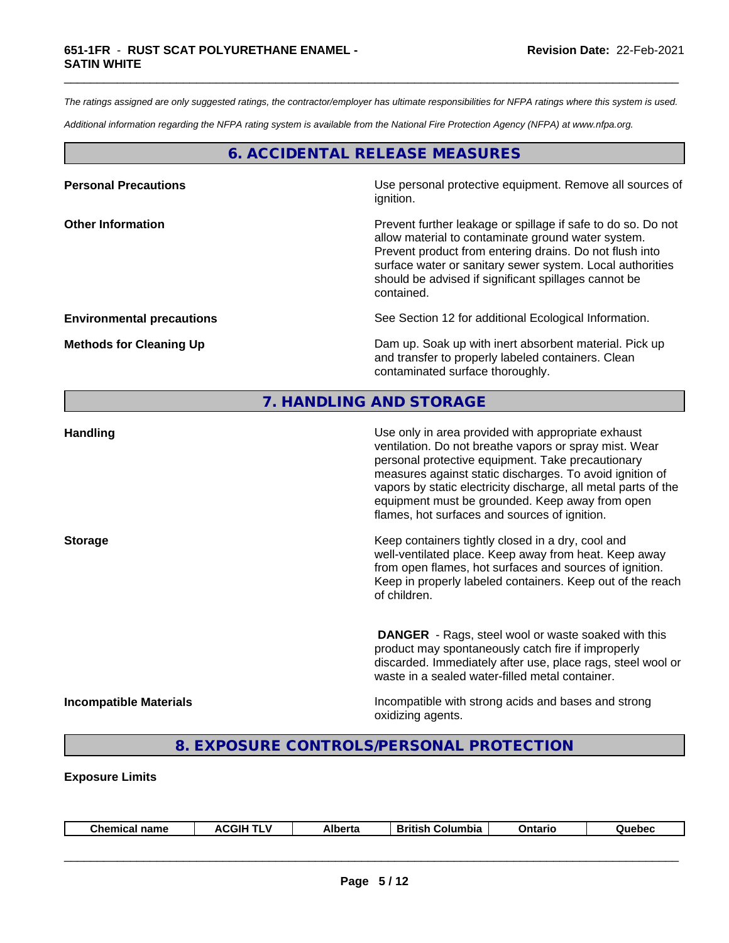*The ratings assigned are only suggested ratings, the contractor/employer has ultimate responsibilities for NFPA ratings where this system is used.*

\_\_\_\_\_\_\_\_\_\_\_\_\_\_\_\_\_\_\_\_\_\_\_\_\_\_\_\_\_\_\_\_\_\_\_\_\_\_\_\_\_\_\_\_\_\_\_\_\_\_\_\_\_\_\_\_\_\_\_\_\_\_\_\_\_\_\_\_\_\_\_\_\_\_\_\_\_\_\_\_\_\_\_\_\_\_\_\_\_\_\_\_\_

*Additional information regarding the NFPA rating system is available from the National Fire Protection Agency (NFPA) at www.nfpa.org.*

# **6. ACCIDENTAL RELEASE MEASURES**

| <b>Personal Precautions</b>      | Use personal protective equipment. Remove all sources of<br>ignition.                                                                                                                                                                                                                                            |
|----------------------------------|------------------------------------------------------------------------------------------------------------------------------------------------------------------------------------------------------------------------------------------------------------------------------------------------------------------|
| <b>Other Information</b>         | Prevent further leakage or spillage if safe to do so. Do not<br>allow material to contaminate ground water system.<br>Prevent product from entering drains. Do not flush into<br>surface water or sanitary sewer system. Local authorities<br>should be advised if significant spillages cannot be<br>contained. |
| <b>Environmental precautions</b> | See Section 12 for additional Ecological Information.                                                                                                                                                                                                                                                            |
| <b>Methods for Cleaning Up</b>   | Dam up. Soak up with inert absorbent material. Pick up<br>and transfer to properly labeled containers. Clean<br>contaminated surface thoroughly.                                                                                                                                                                 |

# **7. HANDLING AND STORAGE**

| <b>Handling</b>               | Use only in area provided with appropriate exhaust<br>ventilation. Do not breathe vapors or spray mist. Wear<br>personal protective equipment. Take precautionary<br>measures against static discharges. To avoid ignition of<br>vapors by static electricity discharge, all metal parts of the<br>equipment must be grounded. Keep away from open<br>flames, hot surfaces and sources of ignition. |
|-------------------------------|-----------------------------------------------------------------------------------------------------------------------------------------------------------------------------------------------------------------------------------------------------------------------------------------------------------------------------------------------------------------------------------------------------|
| <b>Storage</b>                | Keep containers tightly closed in a dry, cool and<br>well-ventilated place. Keep away from heat. Keep away<br>from open flames, hot surfaces and sources of ignition.<br>Keep in properly labeled containers. Keep out of the reach<br>of children.                                                                                                                                                 |
|                               | <b>DANGER</b> - Rags, steel wool or waste soaked with this<br>product may spontaneously catch fire if improperly<br>discarded. Immediately after use, place rags, steel wool or<br>waste in a sealed water-filled metal container.                                                                                                                                                                  |
| <b>Incompatible Materials</b> | Incompatible with strong acids and bases and strong<br>oxidizing agents.                                                                                                                                                                                                                                                                                                                            |

# **8. EXPOSURE CONTROLS/PERSONAL PROTECTION**

### **Exposure Limits**

| <b>Chemical name</b> | <b>\CGIH TLV</b> | <b>Alberta</b> | <b>British Columbia</b> | Ontario | Quebec |
|----------------------|------------------|----------------|-------------------------|---------|--------|
|                      |                  |                |                         |         |        |
|                      |                  |                |                         |         |        |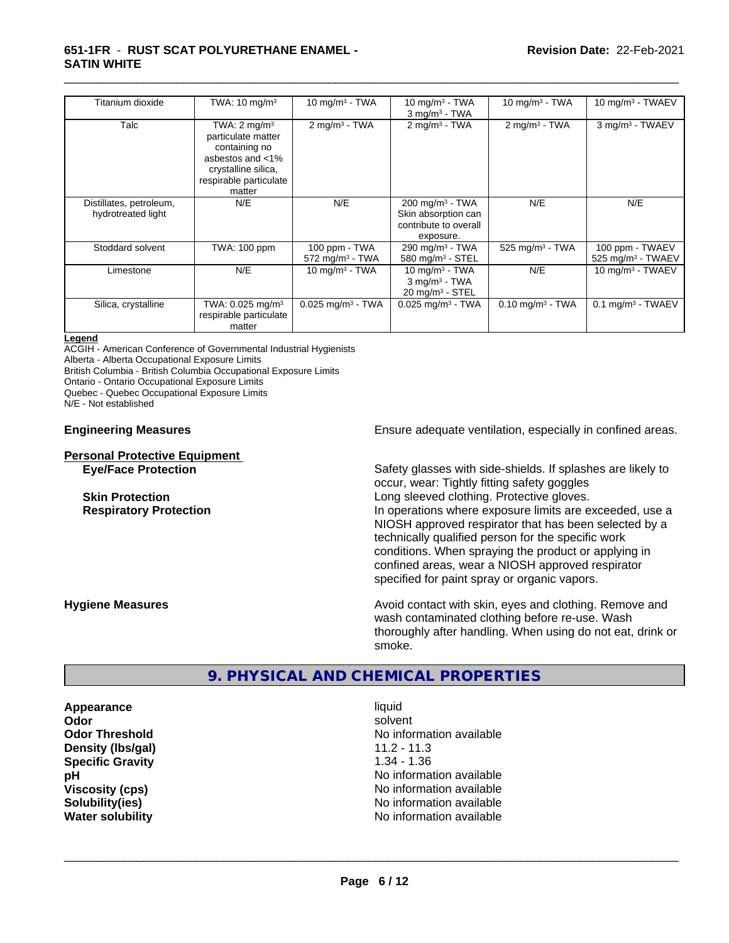### **651-1FR** - **RUST SCAT POLYURETHANE ENAMEL - SATIN WHITE**

| Titanium dioxide                              | TWA: $10 \text{ mg/m}^3$                                                                                                                      | 10 mg/m $3 - TWA$                              | 10 mg/m $3$ - TWA<br>$3$ mg/m <sup>3</sup> - TWA                                        | 10 mg/m $3$ - TWA              | 10 mg/m <sup>3</sup> - TWAEV                       |
|-----------------------------------------------|-----------------------------------------------------------------------------------------------------------------------------------------------|------------------------------------------------|-----------------------------------------------------------------------------------------|--------------------------------|----------------------------------------------------|
| Talc                                          | TWA: $2 \text{ mq/m}^3$<br>particulate matter<br>containing no<br>asbestos and <1%<br>crystalline silica,<br>respirable particulate<br>matter | $2 \text{mq/m}^3$ - TWA                        | $2$ mg/m <sup>3</sup> - TWA                                                             | $2 \text{mq/m}^3$ - TWA        | 3 mg/m <sup>3</sup> - TWAEV                        |
| Distillates, petroleum,<br>hydrotreated light | N/E                                                                                                                                           | N/E                                            | $200 \text{ mg/m}^3$ - TWA<br>Skin absorption can<br>contribute to overall<br>exposure. | N/E                            | N/E                                                |
| Stoddard solvent                              | TWA: 100 ppm                                                                                                                                  | 100 ppm - TWA<br>$572$ mg/m <sup>3</sup> - TWA | 290 mg/m <sup>3</sup> - TWA<br>580 mg/m $3$ - STEL                                      | 525 mg/m <sup>3</sup> - TWA    | 100 ppm - TWAEV<br>$525$ mg/m <sup>3</sup> - TWAEV |
| Limestone                                     | N/E                                                                                                                                           | 10 mg/m $3 - TWA$                              | 10 mg/m $3$ - TWA<br>$3$ mg/m <sup>3</sup> - TWA<br>$20 \text{ mg/m}^3$ - STEL          | N/E                            | 10 mg/m $3$ - TWAEV                                |
| Silica, crystalline                           | TWA: 0.025 mg/m <sup>3</sup><br>respirable particulate<br>matter                                                                              | $0.025$ mg/m <sup>3</sup> - TWA                | $0.025$ mg/m <sup>3</sup> - TWA                                                         | $0.10$ mg/m <sup>3</sup> - TWA | $0.1$ mg/m <sup>3</sup> - TWAEV                    |

\_\_\_\_\_\_\_\_\_\_\_\_\_\_\_\_\_\_\_\_\_\_\_\_\_\_\_\_\_\_\_\_\_\_\_\_\_\_\_\_\_\_\_\_\_\_\_\_\_\_\_\_\_\_\_\_\_\_\_\_\_\_\_\_\_\_\_\_\_\_\_\_\_\_\_\_\_\_\_\_\_\_\_\_\_\_\_\_\_\_\_\_\_

#### **Legend**

ACGIH - American Conference of Governmental Industrial Hygienists Alberta - Alberta Occupational Exposure Limits British Columbia - British Columbia Occupational Exposure Limits Ontario - Ontario Occupational Exposure Limits

Quebec - Quebec Occupational Exposure Limits

N/E - Not established

# **Personal Protective Equipment**

**Engineering Measures Ensure** Ensure adequate ventilation, especially in confined areas.

**Eye/Face Protection** Safety glasses with side-shields. If splashes are likely to occur, wear: Tightly fitting safety goggles **Skin Protection**<br> **Respiratory Protection**<br> **Respiratory Protection**<br> **Respiratory Protection**<br> **Respiratory Protection** In operations where exposure limits are exceeded, use a NIOSH approved respirator that has been selected by a technically qualified person for the specific work conditions. When spraying the product or applying in confined areas, wear a NIOSH approved respirator specified for paint spray or organic vapors.

**Hygiene Measures Avoid contact with skin, eyes and clothing. Remove and Avoid contact with skin, eyes and clothing. Remove and Avoid contact with skin, eyes and clothing. Remove and** wash contaminated clothing before re-use. Wash thoroughly after handling. When using do not eat, drink or smoke.

# **9. PHYSICAL AND CHEMICAL PROPERTIES**

**Appearance** liquid<br> **Appearance** liquid<br> **Ador** solvent **Density (lbs/gal)** 11.2 - 11.3<br> **Specific Gravity** 1.34 - 1.36 **Specific Gravity** 

**Odor** solvent **Odor Threshold** No information available **pH pH**  $\blacksquare$ **Viscosity (cps)** No information available **Solubility(ies)** No information available **Water solubility** No information available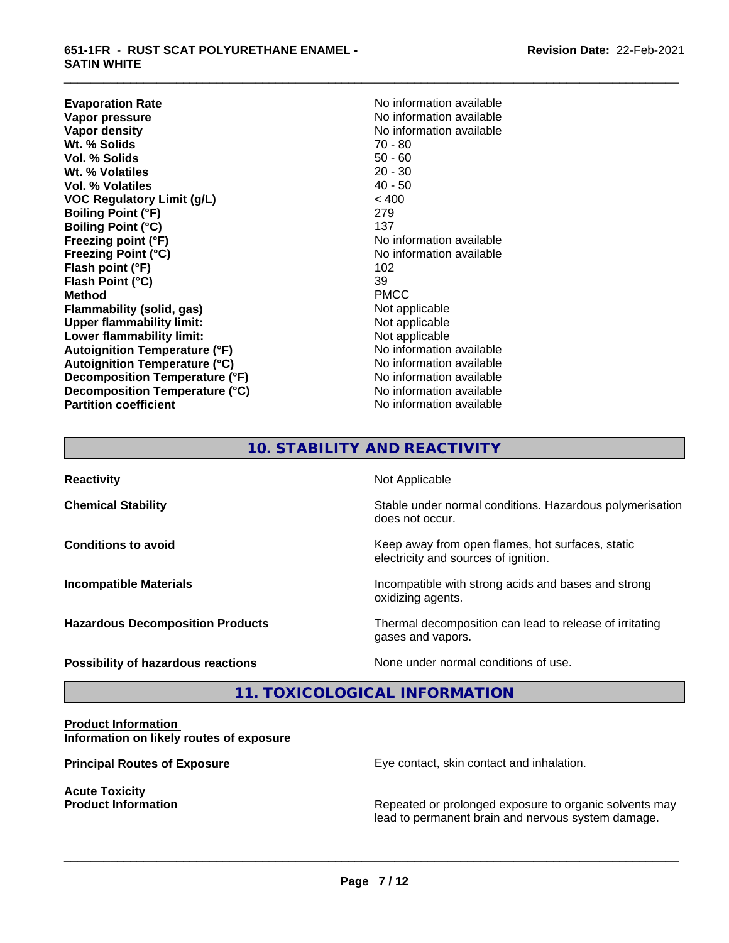**Evaporation Rate No information available Vapor pressure No information available Vapor pressure No information available Vapor pressure**<br> **Vapor density**<br> **Vapor density**<br> **Vapor density**<br> **Vapor density Wt. % Solids** 70 - 80 **Vol. % Solids** 50 - 60<br> **Wt. % Volatiles** 20 - 30 **Wt. % Volatiles Vol. % Volatiles** 40 - 50 **VOC Regulatory Limit (g/L)** < 400 **Boiling Point (°F)** 279 **Boiling Point (°C)** 137 **Freezing point (°F)** No information available **Freezing Point (°C)** The Company of the Monometer of Noinformation available **Flash point (°F)** 102 **Flash Point (°C)** 39 **Method** PMCC **Flammability (solid, gas)**<br> **Commability limit:**<br>
Upper flammability limit:<br>
Not applicable **Upper flammability limit: Lower flammability limit:** Not applicable **Autoignition Temperature (°F)**<br> **Autoignition Temperature (°C)** No information available **Autoignition Temperature (°C) Decomposition Temperature (°F)** No information available **Decomposition Temperature (°C)**<br> **Partition coefficient**<br> **Partition coefficient**<br> **No** information available

**No information available**<br>70 - 80 **No information available** 

\_\_\_\_\_\_\_\_\_\_\_\_\_\_\_\_\_\_\_\_\_\_\_\_\_\_\_\_\_\_\_\_\_\_\_\_\_\_\_\_\_\_\_\_\_\_\_\_\_\_\_\_\_\_\_\_\_\_\_\_\_\_\_\_\_\_\_\_\_\_\_\_\_\_\_\_\_\_\_\_\_\_\_\_\_\_\_\_\_\_\_\_\_

# **10. STABILITY AND REACTIVITY**

**Reactivity** Not Applicable **Chemical Stability Stability** Stable under normal conditions. Hazardous polymerisation does not occur. **Conditions to avoid Keep away from open flames, hot surfaces, static Conditions to avoid Keep away from open flames**, hot surfaces, static electricity and sources of ignition. **Incompatible Materials Incompatible with strong acids and bases and strong** oxidizing agents. **Hazardous Decomposition Products** Thermal decomposition can lead to release of irritating gases and vapors. **Possibility of hazardous reactions** None under normal conditions of use.

# **11. TOXICOLOGICAL INFORMATION**

### **Product Information Information on likely routes of exposure**

**Acute Toxicity** 

**Principal Routes of Exposure Exposure** Eye contact, skin contact and inhalation.

 $\overline{\phantom{a}}$  ,  $\overline{\phantom{a}}$  ,  $\overline{\phantom{a}}$  ,  $\overline{\phantom{a}}$  ,  $\overline{\phantom{a}}$  ,  $\overline{\phantom{a}}$  ,  $\overline{\phantom{a}}$  ,  $\overline{\phantom{a}}$  ,  $\overline{\phantom{a}}$  ,  $\overline{\phantom{a}}$  ,  $\overline{\phantom{a}}$  ,  $\overline{\phantom{a}}$  ,  $\overline{\phantom{a}}$  ,  $\overline{\phantom{a}}$  ,  $\overline{\phantom{a}}$  ,  $\overline{\phantom{a}}$ 

**Product Information Repeated or prolonged exposure to organic solvents may** lead to permanent brain and nervous system damage.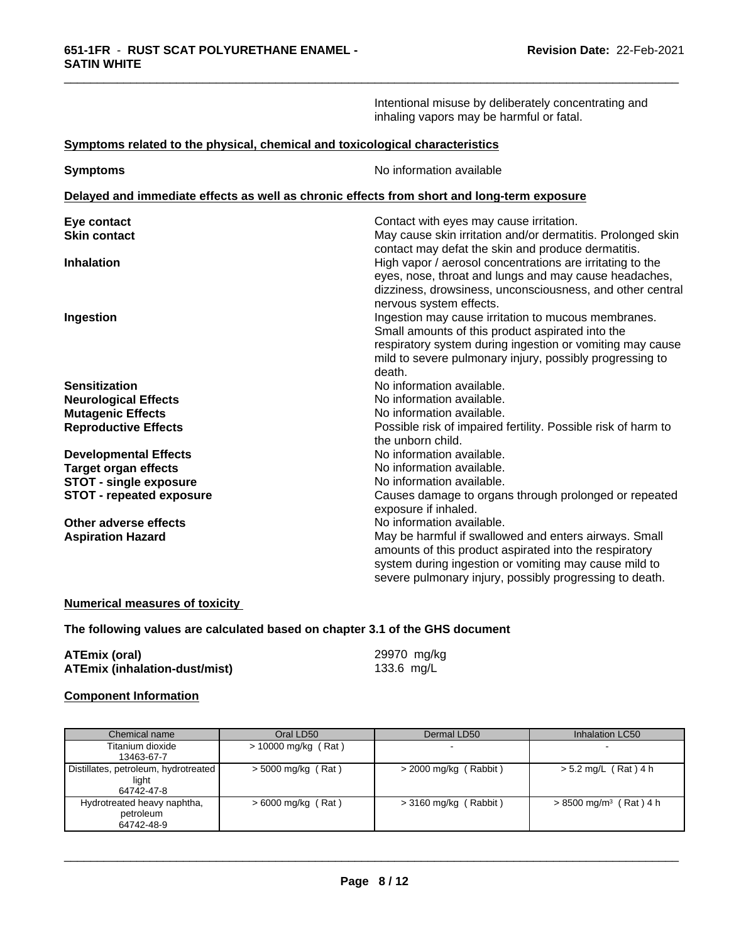Intentional misuse by deliberately concentrating and inhaling vapors may be harmful or fatal.

\_\_\_\_\_\_\_\_\_\_\_\_\_\_\_\_\_\_\_\_\_\_\_\_\_\_\_\_\_\_\_\_\_\_\_\_\_\_\_\_\_\_\_\_\_\_\_\_\_\_\_\_\_\_\_\_\_\_\_\_\_\_\_\_\_\_\_\_\_\_\_\_\_\_\_\_\_\_\_\_\_\_\_\_\_\_\_\_\_\_\_\_\_

### **Symptoms related to the physical,chemical and toxicological characteristics**

| <b>Symptoms</b>                                                                            | No information available                                                                                           |  |  |  |  |  |
|--------------------------------------------------------------------------------------------|--------------------------------------------------------------------------------------------------------------------|--|--|--|--|--|
| Delayed and immediate effects as well as chronic effects from short and long-term exposure |                                                                                                                    |  |  |  |  |  |
| Eye contact                                                                                | Contact with eyes may cause irritation.                                                                            |  |  |  |  |  |
| <b>Skin contact</b>                                                                        | May cause skin irritation and/or dermatitis. Prolonged skin<br>contact may defat the skin and produce dermatitis.  |  |  |  |  |  |
| <b>Inhalation</b>                                                                          | High vapor / aerosol concentrations are irritating to the                                                          |  |  |  |  |  |
|                                                                                            | eyes, nose, throat and lungs and may cause headaches,<br>dizziness, drowsiness, unconsciousness, and other central |  |  |  |  |  |
|                                                                                            | nervous system effects.                                                                                            |  |  |  |  |  |
| Ingestion                                                                                  | Ingestion may cause irritation to mucous membranes.                                                                |  |  |  |  |  |
|                                                                                            | Small amounts of this product aspirated into the                                                                   |  |  |  |  |  |
|                                                                                            | respiratory system during ingestion or vomiting may cause                                                          |  |  |  |  |  |
|                                                                                            | mild to severe pulmonary injury, possibly progressing to                                                           |  |  |  |  |  |
|                                                                                            | death.                                                                                                             |  |  |  |  |  |
| <b>Sensitization</b>                                                                       | No information available.                                                                                          |  |  |  |  |  |
| <b>Neurological Effects</b>                                                                | No information available.                                                                                          |  |  |  |  |  |
| <b>Mutagenic Effects</b>                                                                   | No information available.                                                                                          |  |  |  |  |  |
| <b>Reproductive Effects</b>                                                                | Possible risk of impaired fertility. Possible risk of harm to<br>the unborn child.                                 |  |  |  |  |  |
| <b>Developmental Effects</b>                                                               | No information available.                                                                                          |  |  |  |  |  |
| <b>Target organ effects</b>                                                                | No information available.                                                                                          |  |  |  |  |  |
| <b>STOT - single exposure</b>                                                              | No information available.                                                                                          |  |  |  |  |  |
| <b>STOT - repeated exposure</b>                                                            | Causes damage to organs through prolonged or repeated                                                              |  |  |  |  |  |
|                                                                                            | exposure if inhaled.                                                                                               |  |  |  |  |  |
| Other adverse effects                                                                      | No information available.                                                                                          |  |  |  |  |  |
| <b>Aspiration Hazard</b>                                                                   | May be harmful if swallowed and enters airways. Small                                                              |  |  |  |  |  |
|                                                                                            | amounts of this product aspirated into the respiratory                                                             |  |  |  |  |  |
|                                                                                            | system during ingestion or vomiting may cause mild to                                                              |  |  |  |  |  |
|                                                                                            | severe pulmonary injury, possibly progressing to death.                                                            |  |  |  |  |  |

### **Numerical measures of toxicity**

### **The following values are calculated based on chapter 3.1 of the GHS document**

| <b>ATEmix (oral)</b>                 | 29970 mg/kg |
|--------------------------------------|-------------|
| <b>ATEmix (inhalation-dust/mist)</b> | 133.6 mg/L  |

# **Component Information**

| Chemical name                        | Oral LD50             | Dermal LD50             | Inhalation LC50                      |
|--------------------------------------|-----------------------|-------------------------|--------------------------------------|
| Titanium dioxide                     | $> 10000$ mg/kg (Rat) |                         |                                      |
| 13463-67-7                           |                       |                         |                                      |
| Distillates, petroleum, hydrotreated | $>$ 5000 mg/kg (Rat)  | $>$ 2000 mg/kg (Rabbit) | $> 5.2$ mg/L (Rat) 4 h               |
| light                                |                       |                         |                                      |
| 64742-47-8                           |                       |                         |                                      |
| Hydrotreated heavy naphtha,          | $>6000$ mg/kg (Rat)   | $>$ 3160 mg/kg (Rabbit) | $> 8500$ mg/m <sup>3</sup> (Rat) 4 h |
| petroleum                            |                       |                         |                                      |
| 64742-48-9                           |                       |                         |                                      |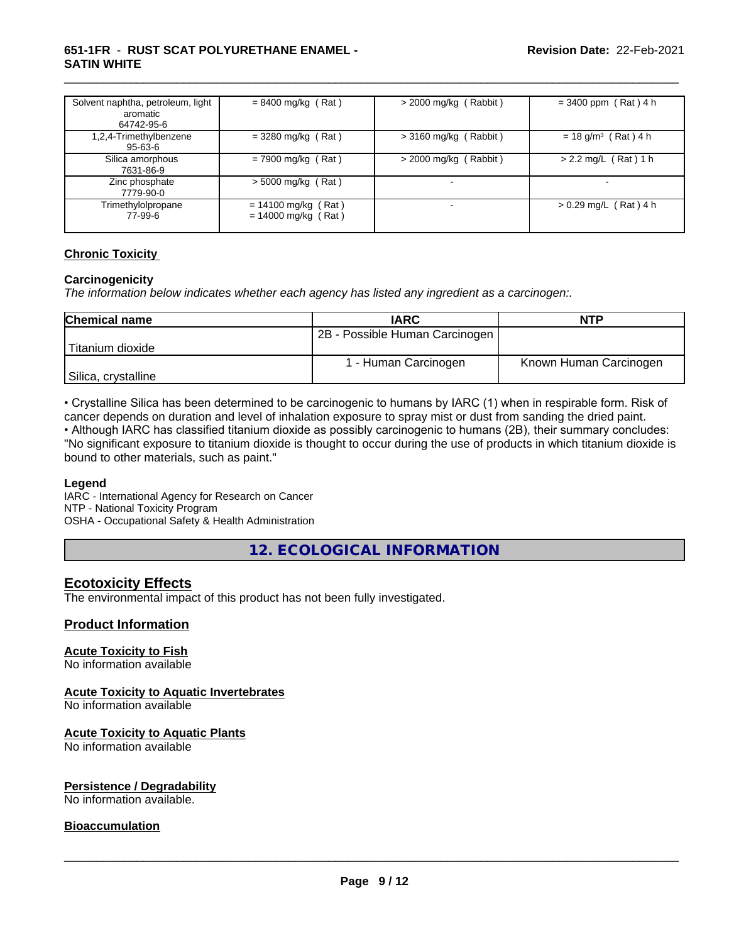### **651-1FR** - **RUST SCAT POLYURETHANE ENAMEL - SATIN WHITE**

| Solvent naphtha, petroleum, light<br>aromatic<br>64742-95-6 | $= 8400$ mg/kg (Rat)                           | $>$ 2000 mg/kg (Rabbit)  | $= 3400$ ppm (Rat) 4 h            |
|-------------------------------------------------------------|------------------------------------------------|--------------------------|-----------------------------------|
| 1,2,4-Trimethylbenzene<br>95-63-6                           | $= 3280$ mg/kg (Rat)                           | $>$ 3160 mg/kg (Rabbit)  | $= 18$ g/m <sup>3</sup> (Rat) 4 h |
| Silica amorphous<br>7631-86-9                               | $= 7900$ mg/kg (Rat)                           | $>$ 2000 mg/kg (Rabbit)  | $> 2.2$ mg/L (Rat) 1 h            |
| Zinc phosphate<br>7779-90-0                                 | $> 5000$ mg/kg (Rat)                           | $\overline{\phantom{0}}$ | $\overline{\phantom{a}}$          |
| Trimethylolpropane<br>77-99-6                               | $= 14100$ mg/kg (Rat)<br>$= 14000$ mg/kg (Rat) |                          | $> 0.29$ mg/L (Rat) 4 h           |

\_\_\_\_\_\_\_\_\_\_\_\_\_\_\_\_\_\_\_\_\_\_\_\_\_\_\_\_\_\_\_\_\_\_\_\_\_\_\_\_\_\_\_\_\_\_\_\_\_\_\_\_\_\_\_\_\_\_\_\_\_\_\_\_\_\_\_\_\_\_\_\_\_\_\_\_\_\_\_\_\_\_\_\_\_\_\_\_\_\_\_\_\_

### **Chronic Toxicity**

### **Carcinogenicity**

*The information below indicateswhether each agency has listed any ingredient as a carcinogen:.*

| <b>Chemical name</b> | <b>IARC</b>                    | <b>NTP</b>             |
|----------------------|--------------------------------|------------------------|
|                      | 2B - Possible Human Carcinogen |                        |
| Titanium dioxide     |                                |                        |
|                      | 1 - Human Carcinogen           | Known Human Carcinogen |
| Silica, crystalline  |                                |                        |

• Crystalline Silica has been determined to be carcinogenic to humans by IARC (1) when in respirable form. Risk of cancer depends on duration and level of inhalation exposure to spray mist or dust from sanding the dried paint.• Although IARC has classified titanium dioxide as possibly carcinogenic to humans (2B), their summary concludes:

"No significant exposure to titanium dioxide is thought to occur during the use of products in which titanium dioxide is bound to other materials, such as paint."

### **Legend**

IARC - International Agency for Research on Cancer NTP - National Toxicity Program OSHA - Occupational Safety & Health Administration

**12. ECOLOGICAL INFORMATION**

# **Ecotoxicity Effects**

The environmental impact of this product has not been fully investigated.

### **Product Information**

### **Acute Toxicity to Fish**

No information available

### **Acute Toxicity to Aquatic Invertebrates**

No information available

### **Acute Toxicity to Aquatic Plants**

No information available

### **Persistence / Degradability**

No information available.

### **Bioaccumulation**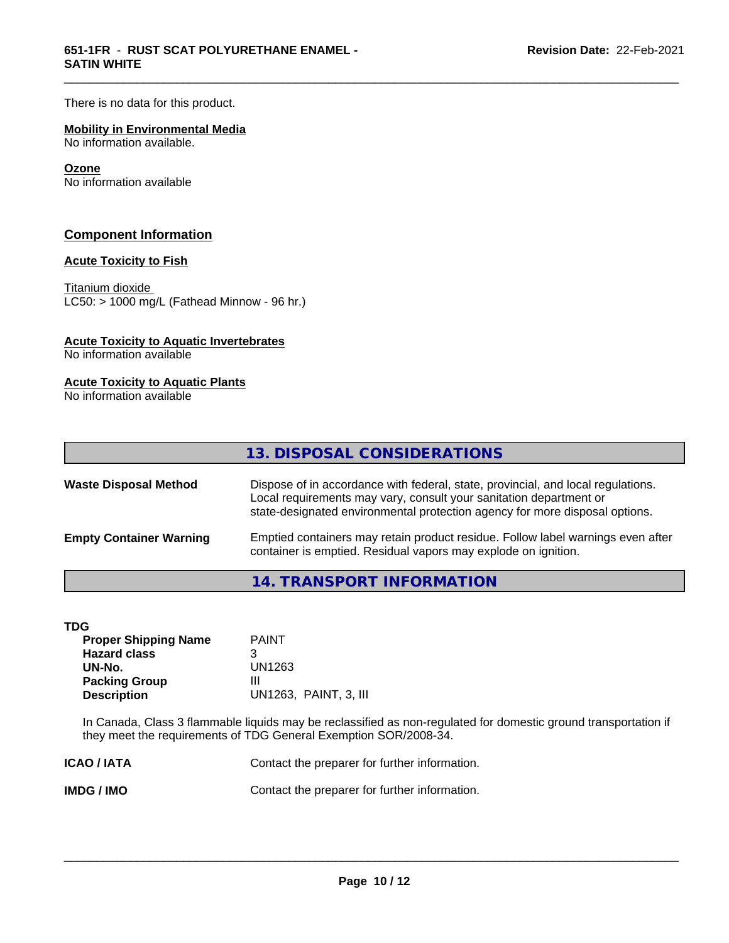There is no data for this product.

### **Mobility in Environmental Media**

No information available.

### **Ozone**

No information available

### **Component Information**

### **Acute Toxicity to Fish**

Titanium dioxide  $\overline{\text{LC50:}}$  > 1000 mg/L (Fathead Minnow - 96 hr.)

### **Acute Toxicity to Aquatic Invertebrates**

No information available

### **Acute Toxicity to Aquatic Plants**

No information available

| 13. DISPOSAL CONSIDERATIONS<br>Dispose of in accordance with federal, state, provincial, and local regulations.<br>Local requirements may vary, consult your sanitation department or<br>state-designated environmental protection agency for more disposal options.<br>Emptied containers may retain product residue. Follow label warnings even after<br>container is emptied. Residual vapors may explode on ignition. |                                |  |
|---------------------------------------------------------------------------------------------------------------------------------------------------------------------------------------------------------------------------------------------------------------------------------------------------------------------------------------------------------------------------------------------------------------------------|--------------------------------|--|
| <b>Waste Disposal Method</b>                                                                                                                                                                                                                                                                                                                                                                                              | <b>Empty Container Warning</b> |  |
|                                                                                                                                                                                                                                                                                                                                                                                                                           |                                |  |
|                                                                                                                                                                                                                                                                                                                                                                                                                           |                                |  |

\_\_\_\_\_\_\_\_\_\_\_\_\_\_\_\_\_\_\_\_\_\_\_\_\_\_\_\_\_\_\_\_\_\_\_\_\_\_\_\_\_\_\_\_\_\_\_\_\_\_\_\_\_\_\_\_\_\_\_\_\_\_\_\_\_\_\_\_\_\_\_\_\_\_\_\_\_\_\_\_\_\_\_\_\_\_\_\_\_\_\_\_\_

### **14. TRANSPORT INFORMATION**

| I |
|---|

| TDG                         |                       |
|-----------------------------|-----------------------|
| <b>Proper Shipping Name</b> | <b>PAINT</b>          |
| <b>Hazard class</b>         | З                     |
| UN-No.                      | UN1263                |
| <b>Packing Group</b>        | Ш                     |
| <b>Description</b>          | UN1263, PAINT, 3, III |

In Canada, Class 3 flammable liquids may be reclassified as non-regulated for domestic ground transportation if they meet the requirements of TDG General Exemption SOR/2008-34.

| <b>ICAO/IATA</b> | Contact the preparer for further information. |
|------------------|-----------------------------------------------|
| <b>IMDG/IMO</b>  | Contact the preparer for further information. |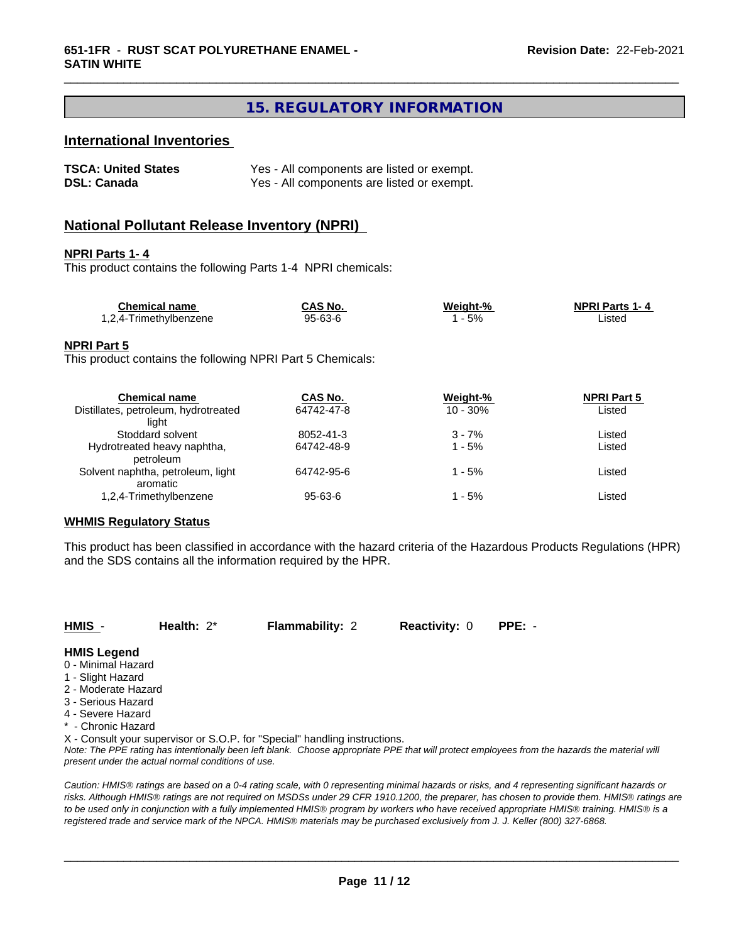# **15. REGULATORY INFORMATION**

\_\_\_\_\_\_\_\_\_\_\_\_\_\_\_\_\_\_\_\_\_\_\_\_\_\_\_\_\_\_\_\_\_\_\_\_\_\_\_\_\_\_\_\_\_\_\_\_\_\_\_\_\_\_\_\_\_\_\_\_\_\_\_\_\_\_\_\_\_\_\_\_\_\_\_\_\_\_\_\_\_\_\_\_\_\_\_\_\_\_\_\_\_

### **International Inventories**

| <b>TSCA: United States</b> | Yes - All components are listed or exempt. |
|----------------------------|--------------------------------------------|
| <b>DSL: Canada</b>         | Yes - All components are listed or exempt. |

### **National Pollutant Release Inventory (NPRI)**

### **NPRI Parts 1- 4**

This product contains the following Parts 1-4 NPRI chemicals:

| <b>Chemical name</b>   | <b>CAS No.</b> | Weight-% | <b>NPRI Parts 1-4</b> |  |
|------------------------|----------------|----------|-----------------------|--|
| 1,2,4-Trimethylbenzene | 95-63-6        | 5%       | ∟isted                |  |

### **NPRI Part 5**

This product contains the following NPRI Part 5 Chemicals:

| <b>Chemical name</b>                 | CAS No.    | Weight-%    | <b>NPRI Part 5</b> |  |
|--------------------------------------|------------|-------------|--------------------|--|
| Distillates, petroleum, hydrotreated | 64742-47-8 | $10 - 30\%$ | Listed             |  |
| liaht                                |            |             |                    |  |
| Stoddard solvent                     | 8052-41-3  | $3 - 7%$    | Listed             |  |
| Hydrotreated heavy naphtha,          | 64742-48-9 | 1 - 5%      | Listed             |  |
| petroleum                            |            |             |                    |  |
| Solvent naphtha, petroleum, light    | 64742-95-6 | 1 - 5%      | Listed             |  |
| aromatic                             |            |             |                    |  |
| 1,2,4-Trimethylbenzene               | 95-63-6    | 1 - 5%      | Listed             |  |
|                                      |            |             |                    |  |

### **WHMIS Regulatory Status**

This product has been classified in accordance with the hazard criteria of the Hazardous Products Regulations (HPR) and the SDS contains all the information required by the HPR.

| HMIS - | Health: $2^*$ | <b>Flammability: 2</b> | <b>Reactivity: 0 PPE: -</b> |  |
|--------|---------------|------------------------|-----------------------------|--|
|--------|---------------|------------------------|-----------------------------|--|

### **HMIS Legend**

- 0 Minimal Hazard
- 1 Slight Hazard
- 2 Moderate Hazard
- 3 Serious Hazard
- 4 Severe Hazard
- \* Chronic Hazard

X - Consult your supervisor or S.O.P. for "Special" handling instructions.

*Note: The PPE rating has intentionally been left blank. Choose appropriate PPE that will protect employees from the hazards the material will present under the actual normal conditions of use.*

*Caution: HMISÒ ratings are based on a 0-4 rating scale, with 0 representing minimal hazards or risks, and 4 representing significant hazards or risks. Although HMISÒ ratings are not required on MSDSs under 29 CFR 1910.1200, the preparer, has chosen to provide them. HMISÒ ratings are to be used only in conjunction with a fully implemented HMISÒ program by workers who have received appropriate HMISÒ training. HMISÒ is a registered trade and service mark of the NPCA. HMISÒ materials may be purchased exclusively from J. J. Keller (800) 327-6868.*